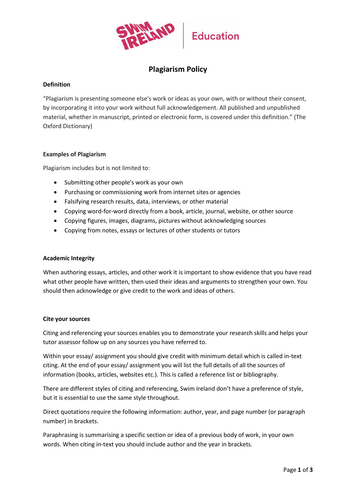

# **Plagiarism Policy**

# **Definition**

"Plagiarism is presenting someone else's work or ideas as your own, with or without their consent, by incorporating it into your work without full acknowledgement. All published and unpublished material, whether in manuscript, printed or electronic form, is covered under this definition." (The Oxford Dictionary)

# **Examples of Plagiarism**

Plagiarism includes but is not limited to:

- Submitting other people's work as your own
- Purchasing or commissioning work from internet sites or agencies
- Falsifying research results, data, interviews, or other material
- Copying word-for-word directly from a book, article, journal, website, or other source
- Copying figures, images, diagrams, pictures without acknowledging sources
- Copying from notes, essays or lectures of other students or tutors

# **Academic Integrity**

When authoring essays, articles, and other work it is important to show evidence that you have read what other people have written, then used their ideas and arguments to strengthen your own. You should then acknowledge or give credit to the work and ideas of others.

# **Cite your sources**

Citing and referencing your sources enables you to demonstrate your research skills and helps your tutor assessor follow up on any sources you have referred to.

Within your essay/ assignment you should give credit with minimum detail which is called in-text citing. At the end of your essay/ assignment you will list the full details of all the sources of information (books, articles, websites etc.). This is called a reference list or bibliography.

There are different styles of citing and referencing, Swim Ireland don't have a preference of style, but it is essential to use the same style throughout.

Direct quotations require the following information: author, year, and page number (or paragraph number) in brackets.

Paraphrasing is summarising a specific section or idea of a previous body of work, in your own words. When citing in-text you should include author and the year in brackets.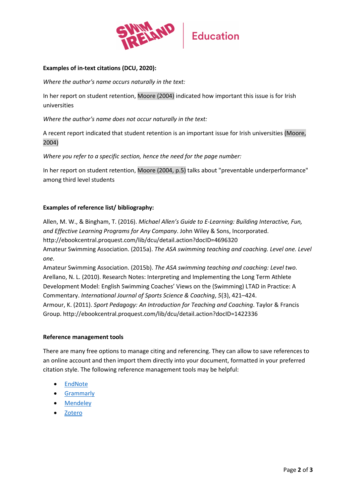

# **Examples of in-text citations (DCU, 2020):**

*Where the author's name occurs naturally in the text:*

In her report on student retention, Moore (2004) indicated how important this issue is for Irish universities

*Where the author's name does not occur naturally in the text:*

A recent report indicated that student retention is an important issue for Irish universities (Moore, 2004)

*Where you refer to a specific section, hence the need for the page number:*

In her report on student retention, Moore (2004, p.5) talks about "preventable underperformance" among third level students

# **Examples of reference list/ bibliography:**

Allen, M. W., & Bingham, T. (2016). *Michael Allen's Guide to E-Learning: Building Interactive, Fun, and Effective Learning Programs for Any Company*. John Wiley & Sons, Incorporated. http://ebookcentral.proquest.com/lib/dcu/detail.action?docID=4696320 Amateur Swimming Association. (2015a). *The ASA swimming teaching and coaching. Level one. Level one.*

Amateur Swimming Association. (2015b). *The ASA swimming teaching and coaching: Level two.* Arellano, N. L. (2010). Research Notes: Interpreting and Implementing the Long Term Athlete Development Model: English Swimming Coaches' Views on the (Swimming) LTAD in Practice: A Commentary. *International Journal of Sports Science & Coaching*, *5*(3), 421–424. Armour, K. (2011). *Sport Pedagogy: An Introduction for Teaching and Coaching*. Taylor & Francis Group. http://ebookcentral.proquest.com/lib/dcu/detail.action?docID=1422336

#### **Reference management tools**

There are many free options to manage citing and referencing. They can allow to save references to an online account and then import them directly into your document, formatted in your preferred citation style. The following reference management tools may be helpful:

- [EndNote](https://www.endnote.co.uk/?gclid=CjwKCAiAsYyRBhACEiwAkJFKosoK3wsLJXGNsPyO8-zP6V6zyPXtrsvOOMVC1Q8PNG3HjmOFZJ6S4xoCNXwQAvD_BwE)
- [Grammarly](https://www.grammarly.com/?q=essay&utm_source=google&utm_medium=cpc&utm_campaign=11862360164&utm_content=486886661408&utm_term=referencing%20tool&matchtype=b&placement=&network=g&gclid=CjwKCAiAsYyRBhACEiwAkJFKogA9ohs0MN6jfriRyun1zTdC8RxaYmaln4Pq68GW_aNKM4BQsrfAwRoC1BYQAvD_BwE&gclsrc=aw.ds)
- [Mendeley](https://www.mendeley.com/)
- [Zotero](https://www.zotero.org/)